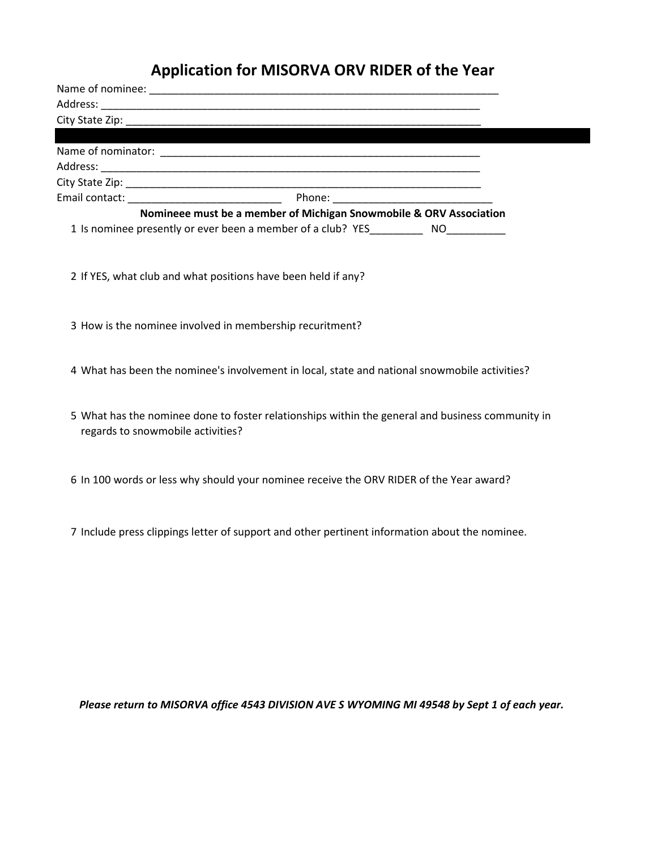# **Application for MISORVA ORV RIDER of the Year**

|                                                                                                  | Nomineee must be a member of Michigan Snowmobile & ORV Association |  |
|--------------------------------------------------------------------------------------------------|--------------------------------------------------------------------|--|
| 1 Is nominee presently or ever been a member of a club? YES_____________ NO___________           |                                                                    |  |
|                                                                                                  |                                                                    |  |
| 2 If YES, what club and what positions have been held if any?                                    |                                                                    |  |
|                                                                                                  |                                                                    |  |
| 3 How is the nominee involved in membership recuritment?                                         |                                                                    |  |
|                                                                                                  |                                                                    |  |
| 4 What has been the nominee's involvement in local, state and national snowmobile activities?    |                                                                    |  |
|                                                                                                  |                                                                    |  |
| 5 What has the nominee done to foster relationships within the general and business community in |                                                                    |  |
| regards to snowmobile activities?                                                                |                                                                    |  |
|                                                                                                  |                                                                    |  |
|                                                                                                  |                                                                    |  |
| 6 In 100 words or less why should your nominee receive the ORV RIDER of the Year award?          |                                                                    |  |
|                                                                                                  |                                                                    |  |
|                                                                                                  |                                                                    |  |
| 7 Include press clippings letter of support and other pertinent information about the nominee.   |                                                                    |  |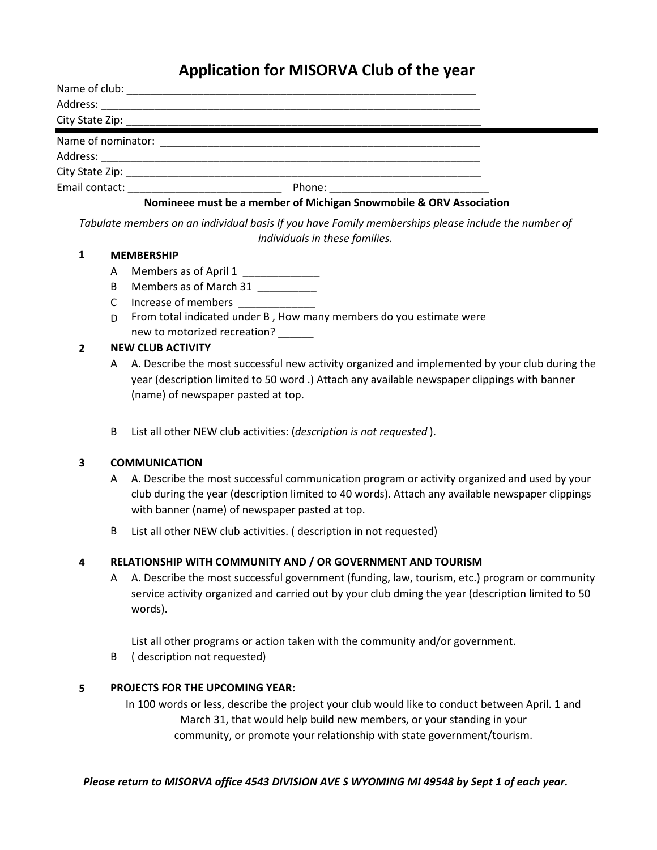## **Application for MISORVA Club of the year**

| Name of club:                                                                                                  |                                                                                                                                                                                                                                 |  |
|----------------------------------------------------------------------------------------------------------------|---------------------------------------------------------------------------------------------------------------------------------------------------------------------------------------------------------------------------------|--|
| Address:                                                                                                       |                                                                                                                                                                                                                                 |  |
|                                                                                                                |                                                                                                                                                                                                                                 |  |
| Name of nominator:                                                                                             |                                                                                                                                                                                                                                 |  |
|                                                                                                                |                                                                                                                                                                                                                                 |  |
|                                                                                                                |                                                                                                                                                                                                                                 |  |
| Email contact: The Contract of The Contract of The Contract of The Contract of The Contract of The Contract of |                                                                                                                                                                                                                                 |  |
|                                                                                                                | $\sim$ . The set of the set of the set of the set of the set of the set of the set of the set of the set of the set of the set of the set of the set of the set of the set of the set of the set of the set of the set of the s |  |

### **Nomineee must be a member of Michigan Snowmobile & ORV Association**

*Tabulate members on an individual basis If you have Family memberships please include the number of individuals in these families.*

#### **1 MEMBERSHIP**

- A Members as of April 1 \_\_\_\_\_\_\_\_\_\_\_\_\_\_\_\_
- B Members as of March 31 \_\_\_\_\_\_\_\_\_\_\_
- C lncrease of members \_\_\_\_\_\_\_\_\_\_\_\_\_\_\_\_
- D From total indicated under B , How many members do you estimate were new to motorized recreation?

#### **2 NEW CLUB ACTIVITY**

- A A. Describe the most successful new activity organized and implemented by your club during the year (description limited to 50 word .) Attach any available newspaper clippings with banner (name) of newspaper pasted at top.
- B List all other NEW club activities: (*description is not requested* ).

#### **3 COMMUNICATION**

- A A. Describe the most successful communication program or activity organized and used by your club during the year (description limited to 40 words). Attach any available newspaper clippings with banner (name) of newspaper pasted at top.
- B List all other NEW club activities. ( description in not requested)

#### **4 RELATIONSHIP WITH COMMUNITY AND / OR GOVERNMENT AND TOURISM**

A A. Describe the most successful government (funding, law, tourism, etc.) program or community service activity organized and carried out by your club dming the year (description limited to 50 words).

List all other programs or action taken with the community and/or government.

B ( description not requested)

#### **5 PROJECTS FOR THE UPCOMING YEAR:**

In 100 words or less, describe the project your club would like to conduct between April. 1 and March 31, that would help build new members, or your standing in your community, or promote your relationship with state government/tourism.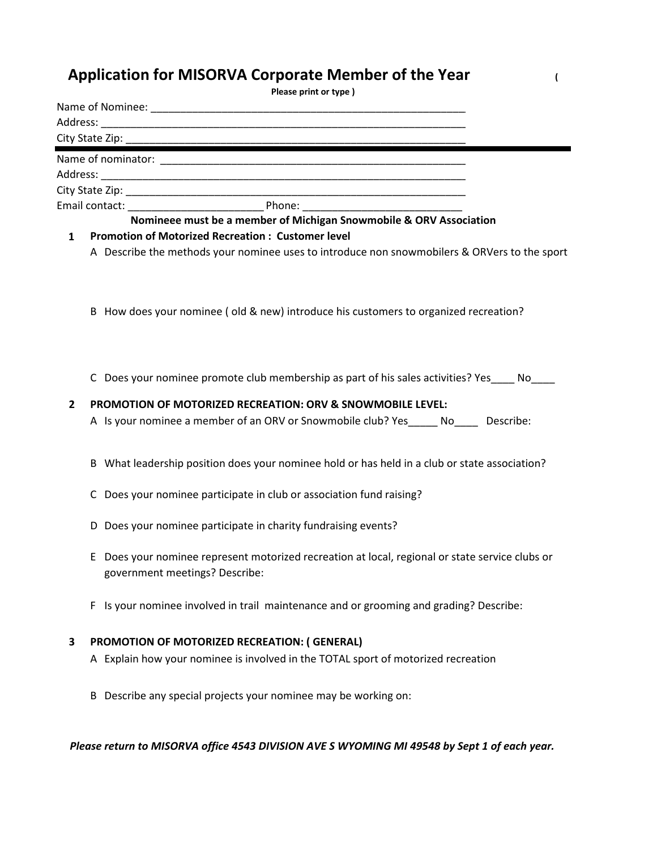## **Application for MISORVA Corporate Member of the Year (**

|                | Please print or type)                                                                                                          |  |
|----------------|--------------------------------------------------------------------------------------------------------------------------------|--|
|                |                                                                                                                                |  |
|                |                                                                                                                                |  |
|                |                                                                                                                                |  |
|                |                                                                                                                                |  |
|                |                                                                                                                                |  |
|                |                                                                                                                                |  |
|                |                                                                                                                                |  |
| $\mathbf{1}$   | Nomineee must be a member of Michigan Snowmobile & ORV Association<br><b>Promotion of Motorized Recreation: Customer level</b> |  |
|                | A Describe the methods your nominee uses to introduce non snowmobilers & ORVers to the sport                                   |  |
|                | B How does your nominee (old & new) introduce his customers to organized recreation?                                           |  |
|                | C Does your nominee promote club membership as part of his sales activities? Yes____ No____                                    |  |
| $\overline{2}$ | PROMOTION OF MOTORIZED RECREATION: ORV & SNOWMOBILE LEVEL:                                                                     |  |
|                | A Is your nominee a member of an ORV or Snowmobile club? Yes______ No_____ Describe:                                           |  |
|                | B What leadership position does your nominee hold or has held in a club or state association?                                  |  |
|                | C Does your nominee participate in club or association fund raising?                                                           |  |
|                | D Does your nominee participate in charity fundraising events?                                                                 |  |
|                | E Does your nominee represent motorized recreation at local, regional or state service clubs or                                |  |

- E loes your nominee represent motorized recreation at local, regional or state service clubs government meetings? Describe:
- F Is your nominee involved in trail maintenance and or grooming and grading? Describe:

### **3 PROMOTION OF MOTORIZED RECREATION: ( GENERAL)**

- A Explain how your nominee is involved in the TOTAL sport of motorized recreation
- B Describe any special projects your nominee may be working on: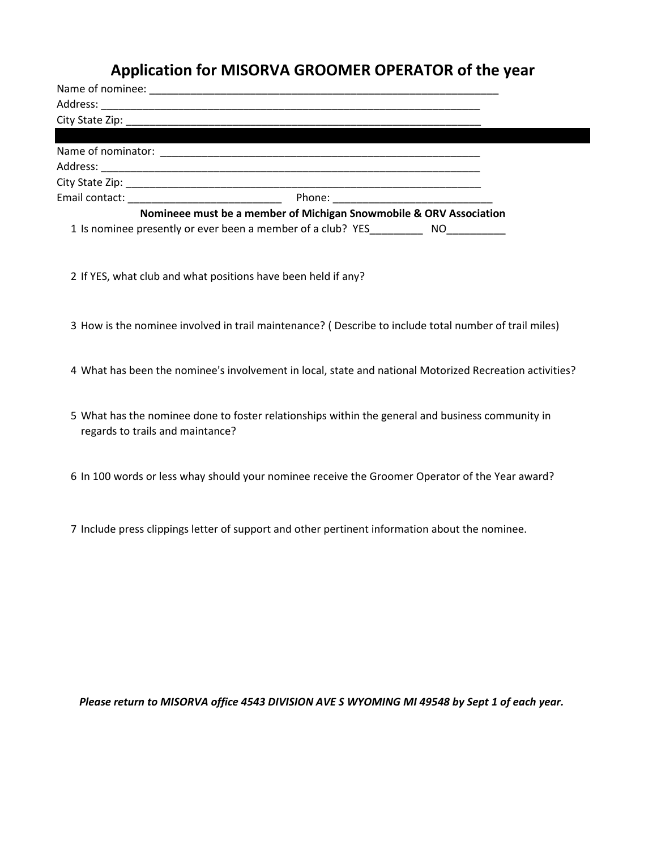### **Application for MISORVA GROOMER OPERATOR of the year**

| Email contact: National Contract: |                                                                    |  |
|-----------------------------------|--------------------------------------------------------------------|--|
|                                   | Nomineee must be a member of Michigan Snowmobile & ORV Association |  |
|                                   | 1 Is nominee presently or ever been a member of a club? YES NO     |  |

- 2 If YES, what club and what positions have been held if any?
- 3 How is the nominee involved in trail maintenance? ( Describe to include total number of trail miles)
- 4 What has been the nominee's involvement in local, state and national Motorized Recreation activities?
- 5 What has the nominee done to foster relationships within the general and business community in regards to trails and maintance?
- 6 In 100 words or less whay should your nominee receive the Groomer Operator of the Year award?
- 7 Include press clippings letter of support and other pertinent information about the nominee.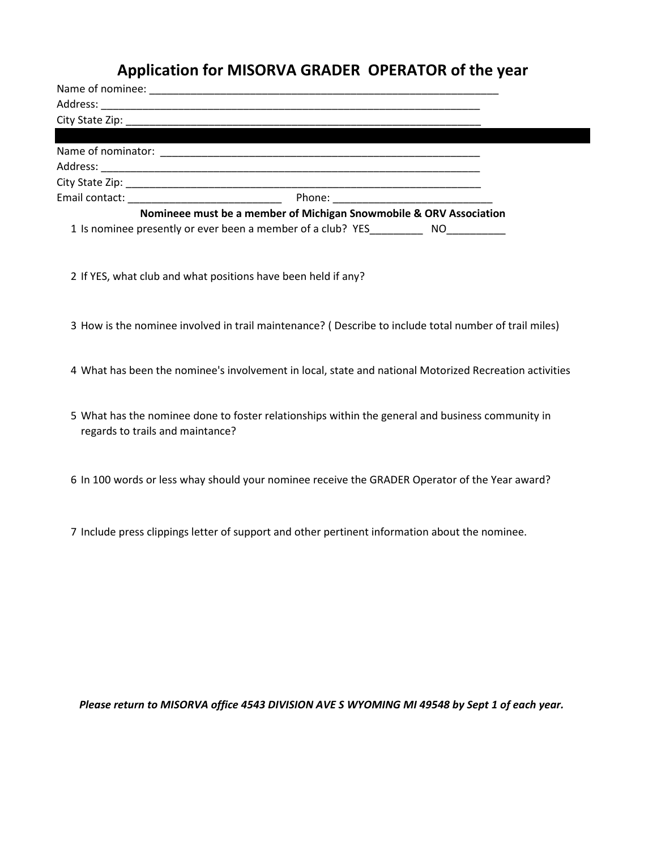### **Application for MISORVA GRADER OPERATOR of the year**

| Nomineee must be a member of Michigan Snowmobile & ORV Association |  |
|--------------------------------------------------------------------|--|
| 1 Is nominee presently or ever been a member of a club? YES NO     |  |

- 2 If YES, what club and what positions have been held if any?
- 3 How is the nominee involved in trail maintenance? ( Describe to include total number of trail miles)
- 4 What has been the nominee's involvement in local, state and national Motorized Recreation activities
- 5 What has the nominee done to foster relationships within the general and business community in regards to trails and maintance?
- 6 In 100 words or less whay should your nominee receive the GRADER Operator of the Year award?
- 7 Include press clippings letter of support and other pertinent information about the nominee.